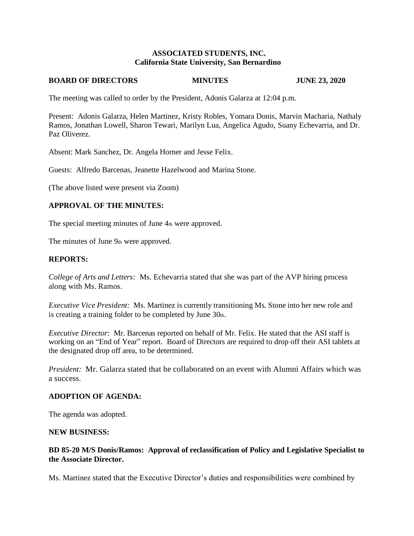### **ASSOCIATED STUDENTS, INC. California State University, San Bernardino**

#### **BOARD OF DIRECTORS MINUTES JUNE 23, 2020**

The meeting was called to order by the President, Adonis Galarza at 12:04 p.m.

Present: Adonis Galarza, Helen Martinez, Kristy Robles, Yomara Donis, Marvin Macharia, Nathaly Ramos, Jonathan Lowell, Sharon Tewari, Marilyn Lua, Angelica Agudo, Suany Echevarria, and Dr. Paz Oliverez.

Absent: Mark Sanchez, Dr. Angela Horner and Jesse Felix.

Guests: Alfredo Barcenas, Jeanette Hazelwood and Marina Stone.

(The above listed were present via Zoom)

## **APPROVAL OF THE MINUTES:**

The special meeting minutes of June 4th were approved.

The minutes of June 9th were approved.

### **REPORTS:**

*College of Arts and Letters:* Ms. Echevarria stated that she was part of the AVP hiring process along with Ms. Ramos.

*Executive Vice President:* Ms. Martinez is currently transitioning Ms. Stone into her new role and is creating a training folder to be completed by June  $30<sub>th</sub>$ .

*Executive Director*: Mr. Barcenas reported on behalf of Mr. Felix. He stated that the ASI staff is working on an "End of Year" report. Board of Directors are required to drop off their ASI tablets at the designated drop off area, to be determined.

*President:* Mr. Galarza stated that he collaborated on an event with Alumni Affairs which was a success.

#### **ADOPTION OF AGENDA:**

The agenda was adopted.

#### **NEW BUSINESS:**

## **BD 85-20 M/S Donis/Ramos: Approval of reclassification of Policy and Legislative Specialist to the Associate Director.**

Ms. Martinez stated that the Executive Director's duties and responsibilities were combined by